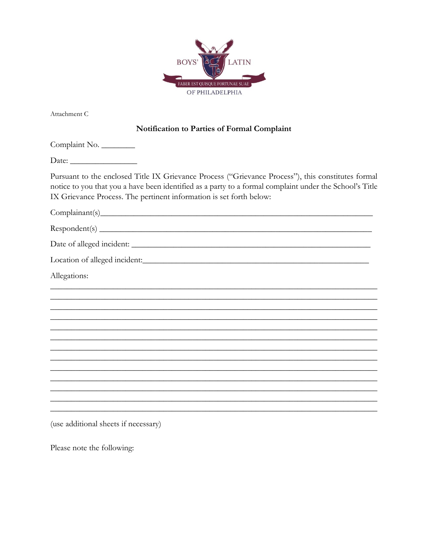

Attachment C

## Notification to Parties of Formal Complaint

Complaint No. 

Pursuant to the enclosed Title IX Grievance Process ("Grievance Process"), this constitutes formal notice to you that you a have been identified as a party to a formal complaint under the School's Title IX Grievance Process. The pertinent information is set forth below:

Complainant(s)

 $Respondent(s)$ 

Allegations:

(use additional sheets if necessary)

Please note the following: